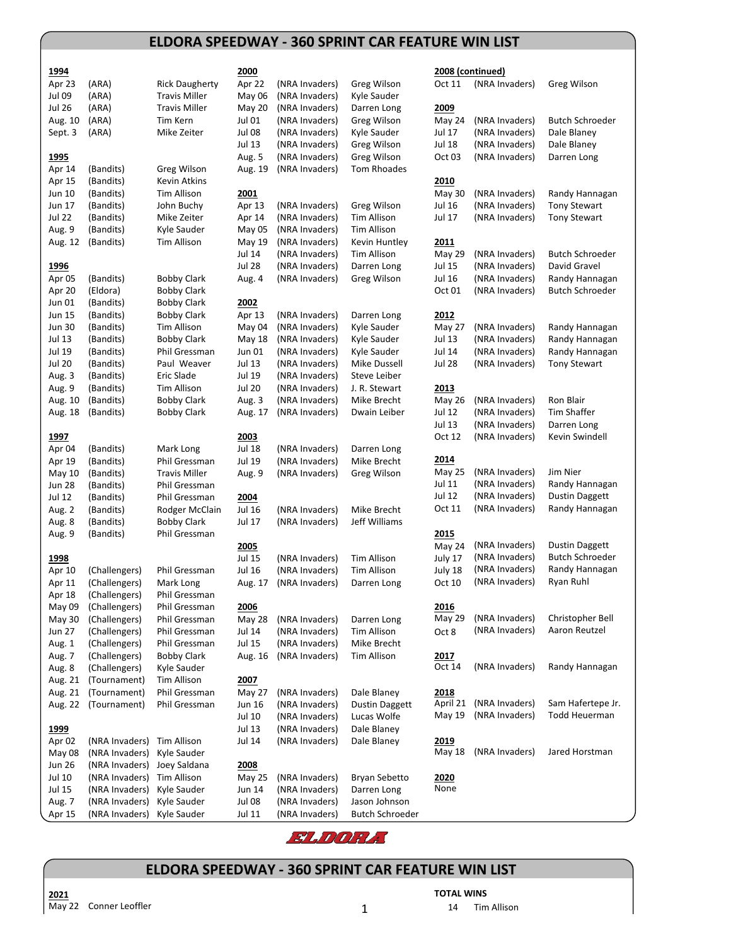## **ELDORA SPEEDWAY - 360 SPRINT CAR FEATURE WIN LIST**

| 1994              |                               |                                       | 2000             |                                  |                              |                | 2008 (continued) |                        |
|-------------------|-------------------------------|---------------------------------------|------------------|----------------------------------|------------------------------|----------------|------------------|------------------------|
| Apr 23            | (ARA)                         | <b>Rick Daugherty</b>                 | Apr 22           | (NRA Invaders)                   | Greg Wilson                  | Oct 11         | (NRA Invaders)   | Greg Wilson            |
| <b>Jul 09</b>     | (ARA)                         | <b>Travis Miller</b>                  | May 06           | (NRA Invaders)                   | Kyle Sauder                  |                |                  |                        |
| <b>Jul 26</b>     | (ARA)                         | <b>Travis Miller</b>                  | <b>May 20</b>    | (NRA Invaders)                   | Darren Long                  | 2009           |                  |                        |
| Aug. 10           | (ARA)                         | Tim Kern                              | Jul 01           | (NRA Invaders)                   | Greg Wilson                  | May 24         | (NRA Invaders)   | <b>Butch Schroeder</b> |
| Sept. 3           | (ARA)                         | Mike Zeiter                           | Jul 08           | (NRA Invaders)                   | Kyle Sauder                  | Jul 17         | (NRA Invaders)   | Dale Blaney            |
|                   |                               |                                       | Jul 13           | (NRA Invaders)                   | Greg Wilson                  | Jul 18         | (NRA Invaders)   | Dale Blaney            |
| 1995              |                               |                                       | Aug. 5           | (NRA Invaders)                   | Greg Wilson                  | Oct 03         | (NRA Invaders)   | Darren Long            |
| Apr 14            | (Bandits)                     | Greg Wilson                           | Aug. 19          | (NRA Invaders)                   | Tom Rhoades                  |                |                  |                        |
| Apr 15            | (Bandits)                     | Kevin Atkins                          |                  |                                  |                              | 2010           |                  |                        |
| Jun 10            | (Bandits)                     | Tim Allison                           | 2001             |                                  |                              | May 30         | (NRA Invaders)   | Randy Hannagan         |
| Jun 17            | (Bandits)                     | John Buchy                            | Apr 13           | (NRA Invaders)                   | Greg Wilson                  | <b>Jul 16</b>  | (NRA Invaders)   | <b>Tony Stewart</b>    |
| <b>Jul 22</b>     | (Bandits)                     | Mike Zeiter                           | Apr 14           | (NRA Invaders)                   | Tim Allison                  | Jul 17         | (NRA Invaders)   | <b>Tony Stewart</b>    |
| Aug. 9            | (Bandits)                     | Kyle Sauder                           | May 05           | (NRA Invaders)                   | Tim Allison                  |                |                  |                        |
| Aug. 12           | (Bandits)                     | Tim Allison                           | May 19<br>Jul 14 | (NRA Invaders)<br>(NRA Invaders) | Kevin Huntley<br>Tim Allison | 2011<br>May 29 | (NRA Invaders)   | <b>Butch Schroeder</b> |
| 1996              |                               |                                       | <b>Jul 28</b>    | (NRA Invaders)                   | Darren Long                  | Jul 15         | (NRA Invaders)   | David Gravel           |
| Apr 05            | (Bandits)                     | <b>Bobby Clark</b>                    | Aug. 4           | (NRA Invaders)                   | Greg Wilson                  | <b>Jul 16</b>  | (NRA Invaders)   | Randy Hannagan         |
| Apr 20            | (Eldora)                      | <b>Bobby Clark</b>                    |                  |                                  |                              | Oct 01         | (NRA Invaders)   | <b>Butch Schroeder</b> |
| Jun 01            | (Bandits)                     | <b>Bobby Clark</b>                    | 2002             |                                  |                              |                |                  |                        |
| Jun 15            | (Bandits)                     | <b>Bobby Clark</b>                    | Apr 13           | (NRA Invaders)                   | Darren Long                  | 2012           |                  |                        |
| <b>Jun 30</b>     | (Bandits)                     | Tim Allison                           | May 04           | (NRA Invaders)                   | Kyle Sauder                  | <b>May 27</b>  | (NRA Invaders)   | Randy Hannagan         |
| Jul 13            | (Bandits)                     | <b>Bobby Clark</b>                    | May 18           | (NRA Invaders)                   | Kyle Sauder                  | Jul 13         | (NRA Invaders)   | Randy Hannagan         |
| Jul 19            | (Bandits)                     | Phil Gressman                         | Jun 01           | (NRA Invaders)                   | Kyle Sauder                  | <b>Jul 14</b>  | (NRA Invaders)   | Randy Hannagan         |
| <b>Jul 20</b>     | (Bandits)                     | Paul Weaver                           | Jul 13           | (NRA Invaders)                   | Mike Dussell                 | <b>Jul 28</b>  | (NRA Invaders)   | <b>Tony Stewart</b>    |
| Aug. 3            | (Bandits)                     | Eric Slade                            | Jul 19           | (NRA Invaders)                   | Steve Leiber                 |                |                  |                        |
| Aug. 9            | (Bandits)                     | Tim Allison                           | <b>Jul 20</b>    | (NRA Invaders)                   | J. R. Stewart                | 2013           |                  |                        |
| Aug. 10           | (Bandits)                     | <b>Bobby Clark</b>                    | Aug. 3           | (NRA Invaders)                   | Mike Brecht                  | <b>May 26</b>  | (NRA Invaders)   | Ron Blair              |
| Aug. 18           | (Bandits)                     | Bobby Clark                           | Aug. 17          | (NRA Invaders)                   | Dwain Leiber                 | Jul 12         | (NRA Invaders)   | Tim Shaffer            |
|                   |                               |                                       |                  |                                  |                              | Jul 13         | (NRA Invaders)   | Darren Long            |
| 1997              |                               |                                       | 2003             |                                  |                              | Oct 12         | (NRA Invaders)   | Kevin Swindell         |
| Apr 04            | (Bandits)                     | Mark Long                             | <b>Jul 18</b>    | (NRA Invaders)                   | Darren Long                  | 2014           |                  |                        |
| Apr 19<br>May 10  | (Bandits)<br>(Bandits)        | Phil Gressman<br><b>Travis Miller</b> | Jul 19           | (NRA Invaders)                   | Mike Brecht                  | <b>May 25</b>  | (NRA Invaders)   | Jim Nier               |
| <b>Jun 28</b>     | (Bandits)                     | Phil Gressman                         | Aug. 9           | (NRA Invaders)                   | Greg Wilson                  | Jul 11         | (NRA Invaders)   | Randy Hannagan         |
| <b>Jul 12</b>     | (Bandits)                     | Phil Gressman                         | 2004             |                                  |                              | Jul 12         | (NRA Invaders)   | <b>Dustin Daggett</b>  |
| Aug. 2            | (Bandits)                     | Rodger McClain                        | <b>Jul 16</b>    | (NRA Invaders)                   | Mike Brecht                  | Oct 11         | (NRA Invaders)   | Randy Hannagan         |
| Aug. 8            | (Bandits)                     | <b>Bobby Clark</b>                    | Jul 17           | (NRA Invaders)                   | Jeff Williams                |                |                  |                        |
| Aug. 9            | (Bandits)                     | Phil Gressman                         |                  |                                  |                              | 2015           |                  |                        |
|                   |                               |                                       | 2005             |                                  |                              | May 24         | (NRA Invaders)   | <b>Dustin Daggett</b>  |
| 1998              |                               |                                       | Jul 15           | (NRA Invaders)                   | Tim Allison                  | July 17        | (NRA Invaders)   | <b>Butch Schroeder</b> |
| Apr 10            | (Challengers)                 | Phil Gressman                         | <b>Jul 16</b>    | (NRA Invaders)                   | Tim Allison                  | July 18        | (NRA Invaders)   | Randy Hannagan         |
| Apr 11            | (Challengers)                 | Mark Long                             | Aug. 17          | (NRA Invaders)                   | Darren Long                  | Oct 10         | (NRA Invaders)   | Ryan Ruhl              |
| Apr 18            | (Challengers)                 | Phil Gressman                         |                  |                                  |                              |                |                  |                        |
| May 09            | (Challengers)                 | Phil Gressman                         | 2006             |                                  |                              | 2016           |                  |                        |
| May 30            | (Challengers)                 | Phil Gressman                         | May 28           | (NRA Invaders)                   | Darren Long                  | <b>May 29</b>  | (NRA Invaders)   | Christopher Bell       |
| Jun 27            | (Challengers)                 | Phil Gressman                         | Jul 14           | (NRA Invaders)                   | Tim Allison                  | Oct 8          | (NRA Invaders)   | Aaron Reutzel          |
| Aug. 1            | (Challengers)                 | Phil Gressman                         | <b>Jul 15</b>    | (NRA Invaders)                   | Mike Brecht                  |                |                  |                        |
| Aug. 7            | (Challengers)                 | Bobby Clark<br>Kyle Sauder            | Aug. 16          | (NRA Invaders)                   | Tim Allison                  | 2017<br>Oct 14 | (NRA Invaders)   | Randy Hannagan         |
| Aug. 8<br>Aug. 21 | (Challengers)<br>(Tournament) | Tim Allison                           | 2007             |                                  |                              |                |                  |                        |
| Aug. 21           | (Tournament)                  | Phil Gressman                         | May 27           | (NRA Invaders)                   | Dale Blaney                  | 2018           |                  |                        |
| Aug. 22           | (Tournament)                  | Phil Gressman                         | Jun 16           | (NRA Invaders)                   | <b>Dustin Daggett</b>        | April 21       | (NRA Invaders)   | Sam Hafertepe Jr.      |
|                   |                               |                                       | Jul 10           | (NRA Invaders)                   | Lucas Wolfe                  | May 19         | (NRA Invaders)   | Todd Heuerman          |
| 1999              |                               |                                       | Jul 13           | (NRA Invaders)                   | Dale Blaney                  |                |                  |                        |
| Apr 02            | (NRA Invaders)                | Tim Allison                           | Jul 14           | (NRA Invaders)                   | Dale Blaney                  | 2019           |                  |                        |
| May 08            | (NRA Invaders)                | Kyle Sauder                           |                  |                                  |                              | May 18         | (NRA Invaders)   | Jared Horstman         |
| <b>Jun 26</b>     | (NRA Invaders)                | Joey Saldana                          | 2008             |                                  |                              |                |                  |                        |
| Jul 10            | (NRA Invaders)                | Tim Allison                           | May 25           | (NRA Invaders)                   | Bryan Sebetto                | 2020           |                  |                        |
| Jul 15            | (NRA Invaders)                | Kyle Sauder                           | Jun 14           | (NRA Invaders)                   | Darren Long                  | None           |                  |                        |
| Aug. 7            | (NRA Invaders)                | Kyle Sauder                           | Jul 08           | (NRA Invaders)                   | Jason Johnson                |                |                  |                        |
| Apr 15            | (NRA Invaders)                | Kyle Sauder                           | Jul 11           | (NRA Invaders)                   | <b>Butch Schroeder</b>       |                |                  |                        |



## **ELDORA SPEEDWAY - 360 SPRINT CAR FEATURE WIN LIST**